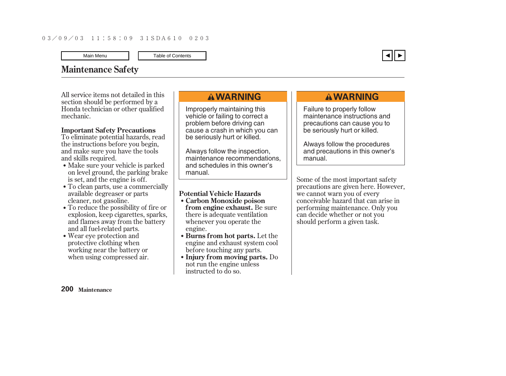# <span id="page-0-0"></span>**Maintenance Safety**

All service items not detailed in this section should be performed by a Honda technician or other qualified mechanic.

### **Important Safety Precautions**

To eliminate potential hazards, read the instructions before you begin, and make sure you have the tools and skills required.

- Make sure your vehicle is parked on level ground, the parking brake is set, and the engine is off.
- To clean parts, use a commercially available degreaser or parts cleaner, not gasoline.
- To reduce the possibility of fire or explosion, keep cigarettes, sparks, and flames away from the battery and all fuel-related parts.
- Wear eye protection and protective clothing when working near the battery or when using compressed air.

# **AWARNING**

Improperly maintaining this vehicle or failing to correct a problem before driving can cause a crash in which you can be seriously hurt or killed.

Always follow the inspection, maintenance recommendations, and schedules in this owner's manual.

### **Potential Vehicle Hazards**

- **from engine exhaust.** Be sure there is adequate ventilation whenever you operate the engine. **Carbon Monoxide poison**
- **Burns from hot parts.** Let the engine and exhaust system cool before touching any parts.
- **Injury from moving parts.** Do not run the engine unless instructed to do so.

# **AWARNING**

Failure to properly follow maintenance instructions and precautions can cause you to be seriously hurt or killed.

Always follow the procedures and precautions in this owner's manual.

Some of the most important safety precautions are given here. However, we cannot warn you of every conceivable hazard that can arise in performing maintenance. Only you can decide whether or not you should perform a given task.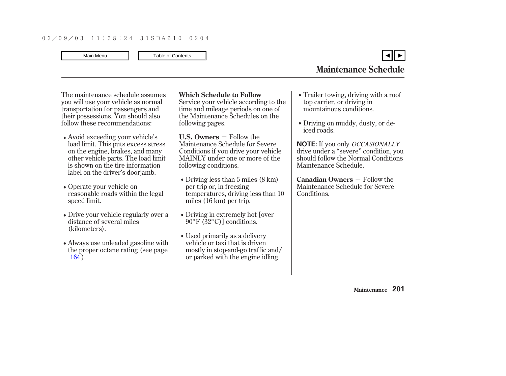<span id="page-1-0"></span>The maintenance schedule assumes you will use your vehicle as normal transportation for passengers and their possessions. You should also follow these recommendations:

- Avoid exceeding your vehicle's load limit. This puts excess stress on the engine, brakes, and many other vehicle parts. The load limit is shown on the tire information label on the driver's doorjamb.
- Operate your vehicle on reasonable roads within the legal speed limit.
- Drive your vehicle regularly over a distance of several miles (kilometers).
- Always use unleaded gasoline with the proper octane rating (see page [164](#page-0-0) ).

### **Which Schedule to Follow**

Service your vehicle according to the time and mileage periods on one of the Maintenance Schedules on the following pages.

- **U.S. Owners**  $-$  Follow the Maintenance Schedule for Severe Conditions if you drive your vehicle MAINLY under one or more of the following conditions.
- Driving less than 5 miles (8 km) per trip or, in freezing temperatures, driving less than 10 miles (16 km) per trip.
- Driving in extremely hot lover 90°F (32°C)] conditions.
- Used primarily as a delivery vehicle or taxi that is driven mostly in stop-and-go traffic and/ or parked with the engine idling.
- Trailer towing, driving with a roof top carrier, or driving in mountainous conditions.
- Driving on muddy, dusty, or deiced roads.

**NOTE:** If you only *OCCASIONALLY* drive under a ''severe'' condition, you should follow the Normal Conditions Maintenance Schedule.

**Canadian Owners** – Follow the Maintenance Schedule for Severe Conditions.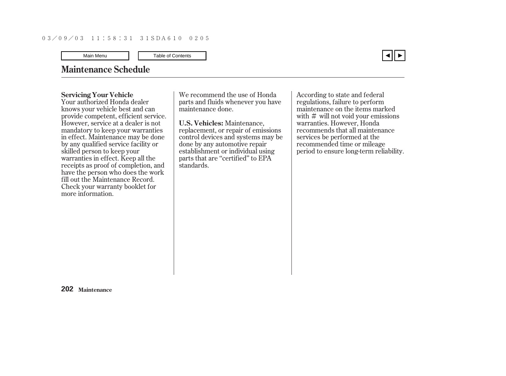# <span id="page-2-0"></span>**Maintenance Schedule**

#### **Servicing Your Vehicle**

Your authorized Honda dealer knows your vehicle best and can provide competent, efficient service. However, service at a dealer is not mandatory to keep your warranties in effect. Maintenance may be done by any qualified service facility or skilled person to keep your warranties in effect. Keep all the receipts as proof of completion, and have the person who does the work fill out the Maintenance Record. Check your warranty booklet for more information.

We recommend the use of Honda parts and fluids whenever you have maintenance done.

**U.S. Vehicles:** Maintenance, replacement, or repair of emissions control devices and systems may be done by any automotive repair establishment or individual using parts that are "certified" to EPA standards.

with  $\#$  will not void your emissions According to state and federal regulations, failure to perform maintenance on the items marked warranties. However, Honda recommends that all maintenance services be performed at the recommended time or mileage period to ensure long-term reliability.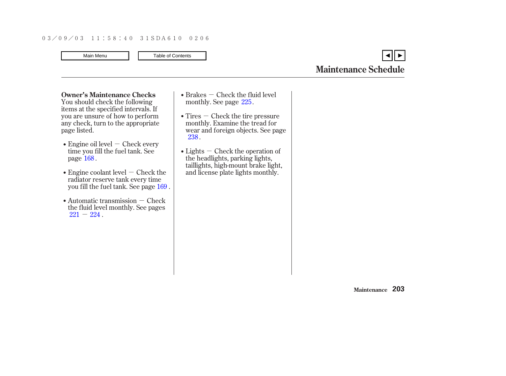You should check the following items at the specified intervals. If you are unsure of how to perform any check, turn to the appropriate page listed. **Owner's Maintenance Checks**

- Engine oil level  $-$  Check every time you fill the fuel tank. See page  $168$  .
- Engine coolant level  $-$  Check the radiator reserve tank every time you fill the fuel tank. See page 169 .
- Automatic transmission Check  $221 - 224$  $221 - 224$  . the fluid level monthly. See pages
- $Brakes Check the fluid level$ monthly. See page  $225$ .
- $T$ ires  $-$  Check the tire pressure monthly. Examine the tread for wear and foreign objects. See page . [238](#page-0-0)
- $Lights$   $-$  Check the operation of the headlights, parking lights, taillights, high-mount brake light, and license plate lights monthly.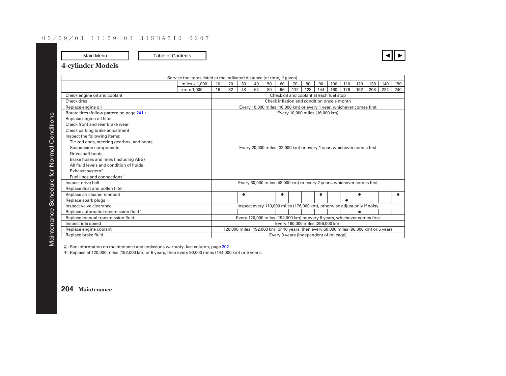### **4-cylinder Models**

| Service the items listed at the indicated distance (or time, if given). |                                         |                                                                       |    |           |    |    |    |     |                                                                                        |     |     |     |     |     |     |     |
|-------------------------------------------------------------------------|-----------------------------------------|-----------------------------------------------------------------------|----|-----------|----|----|----|-----|----------------------------------------------------------------------------------------|-----|-----|-----|-----|-----|-----|-----|
|                                                                         | miles $\times$ 1.000                    | 10                                                                    | 20 | 30        | 40 | 50 | 60 | 70  | 80                                                                                     | 90  | 100 | 110 | 120 | 130 | 140 | 150 |
|                                                                         | $km \times 1.000$                       | 16                                                                    | 32 | 48        | 64 | 80 | 96 | 112 | 128                                                                                    | 144 | 160 | 176 | 192 | 208 | 224 | 240 |
| Check engine oil and coolant                                            | Check oil and coolant at each fuel stop |                                                                       |    |           |    |    |    |     |                                                                                        |     |     |     |     |     |     |     |
| Check tires                                                             |                                         | Check inflation and condition once a month                            |    |           |    |    |    |     |                                                                                        |     |     |     |     |     |     |     |
| Replace engine oil                                                      |                                         | Every 10,000 miles (16,000 km) or every 1 year, whichever comes first |    |           |    |    |    |     |                                                                                        |     |     |     |     |     |     |     |
| Rotate tires (follow pattern on page 241)                               |                                         | Every 10,000 miles (16,000 km)                                        |    |           |    |    |    |     |                                                                                        |     |     |     |     |     |     |     |
| Replace engine oil filter                                               |                                         |                                                                       |    |           |    |    |    |     |                                                                                        |     |     |     |     |     |     |     |
| Check front and rear brake wear                                         |                                         |                                                                       |    |           |    |    |    |     |                                                                                        |     |     |     |     |     |     |     |
| Check parking brake adjustment                                          |                                         |                                                                       |    |           |    |    |    |     |                                                                                        |     |     |     |     |     |     |     |
| Inspect the following items:                                            |                                         |                                                                       |    |           |    |    |    |     |                                                                                        |     |     |     |     |     |     |     |
| Tie-rod ends, steering gearbox, and boots                               |                                         |                                                                       |    |           |    |    |    |     |                                                                                        |     |     |     |     |     |     |     |
| Suspension components                                                   |                                         |                                                                       |    |           |    |    |    |     | Every 20,000 miles (32,000 km) or every 1 year, whichever comes first                  |     |     |     |     |     |     |     |
| Driveshaft boots                                                        |                                         |                                                                       |    |           |    |    |    |     |                                                                                        |     |     |     |     |     |     |     |
| Brake hoses and lines (including ABS)                                   |                                         |                                                                       |    |           |    |    |    |     |                                                                                        |     |     |     |     |     |     |     |
| All fluid levels and condition of fluids                                |                                         |                                                                       |    |           |    |    |    |     |                                                                                        |     |     |     |     |     |     |     |
| Exhaust system <sup>#</sup>                                             |                                         |                                                                       |    |           |    |    |    |     |                                                                                        |     |     |     |     |     |     |     |
| Fuel lines and connections <sup>#</sup>                                 |                                         |                                                                       |    |           |    |    |    |     |                                                                                        |     |     |     |     |     |     |     |
| Inspect drive belt                                                      |                                         |                                                                       |    |           |    |    |    |     | Every 30,000 miles (48,000 km) or every 2 years, whichever comes first                 |     |     |     |     |     |     |     |
| Replace dust and pollen filter                                          |                                         |                                                                       |    |           |    |    |    |     |                                                                                        |     |     |     |     |     |     |     |
| Replace air cleaner element                                             |                                         |                                                                       |    | $\bullet$ |    |    | ٠  |     |                                                                                        | ٠   |     |     | ٠   |     |     | ●   |
| Replace spark plugs                                                     |                                         |                                                                       |    |           |    |    |    |     |                                                                                        |     |     |     |     |     |     |     |
| Inspect valve clearance                                                 |                                         |                                                                       |    |           |    |    |    |     | Inspect every 110,000 miles (176,000 km), otherwise adjust only if noisy               |     |     |     |     |     |     |     |
| Replace automatic transmission fluid*                                   |                                         |                                                                       |    |           |    |    |    |     |                                                                                        |     |     |     |     |     |     |     |
| Replace manual transmission fluid                                       |                                         |                                                                       |    |           |    |    |    |     | Every 120,000 miles (192,000 km) or every 6 years, whichever comes first               |     |     |     |     |     |     |     |
| Inspect idle speed                                                      |                                         |                                                                       |    |           |    |    |    |     | Every 160,000 miles (256,000 km)                                                       |     |     |     |     |     |     |     |
| Replace engine coolant                                                  |                                         |                                                                       |    |           |    |    |    |     | 120,000 miles (192,000 km) or 10 years, then every 60,000 miles (96,000 km) or 5 years |     |     |     |     |     |     |     |
| Replace brake fluid                                                     |                                         | Every 3 years (independent of mileage)                                |    |           |    |    |    |     |                                                                                        |     |     |     |     |     |     |     |

 $\#$  : See information on maintenance and emissions warranty, last column, page 202 [.](#page-2-0)

\* Replace at 120,000 miles (192,000 km) or 6 years, then every 90,000 miles (144,000 km) or 5 years. :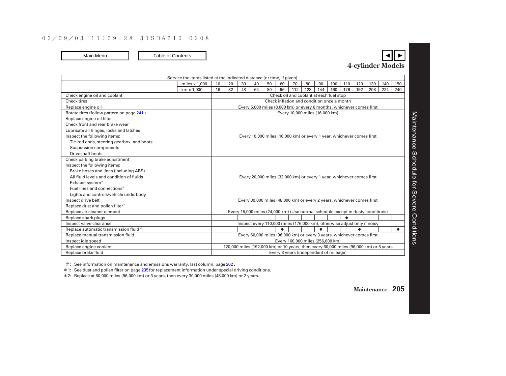| Service the items listed at the indicated distance (or time, if given). |                                                                       |                                                                        |    |    |    |    |    |     |     |           |     |     |     |                                                                                        |     |     |
|-------------------------------------------------------------------------|-----------------------------------------------------------------------|------------------------------------------------------------------------|----|----|----|----|----|-----|-----|-----------|-----|-----|-----|----------------------------------------------------------------------------------------|-----|-----|
|                                                                         | miles $\times$ 1.000                                                  | 10                                                                     | 20 | 30 | 40 | 50 | 60 | 70  | 80  | 90        | 100 | 110 | 120 | 130                                                                                    | 140 | 150 |
|                                                                         | km x 1.000                                                            | 16                                                                     | 32 | 48 | 64 | 80 | 96 | 112 | 128 | 144       | 160 | 176 | 192 | 208                                                                                    | 224 | 240 |
| Check engine oil and coolant                                            | Check oil and coolant at each fuel stop                               |                                                                        |    |    |    |    |    |     |     |           |     |     |     |                                                                                        |     |     |
| Check tires                                                             |                                                                       | Check inflation and condition once a month                             |    |    |    |    |    |     |     |           |     |     |     |                                                                                        |     |     |
| Replace engine oil                                                      |                                                                       | Every 5,000 miles (8,000 km) or every 6 months, whichever comes first  |    |    |    |    |    |     |     |           |     |     |     |                                                                                        |     |     |
| Rotate tires (follow pattern on page 241)                               |                                                                       | Every 10,000 miles (16,000 km)                                         |    |    |    |    |    |     |     |           |     |     |     |                                                                                        |     |     |
| Replace engine oil filter                                               |                                                                       |                                                                        |    |    |    |    |    |     |     |           |     |     |     |                                                                                        |     |     |
| Check front and rear brake wear                                         |                                                                       |                                                                        |    |    |    |    |    |     |     |           |     |     |     |                                                                                        |     |     |
| Lubricate all hinges, locks and latches                                 | Every 10,000 miles (16,000 km) or every 1 year, whichever comes first |                                                                        |    |    |    |    |    |     |     |           |     |     |     |                                                                                        |     |     |
| Inspect the following items:                                            |                                                                       |                                                                        |    |    |    |    |    |     |     |           |     |     |     |                                                                                        |     |     |
| Tie-rod ends, steering gearbox, and boots                               |                                                                       |                                                                        |    |    |    |    |    |     |     |           |     |     |     |                                                                                        |     |     |
| Suspension components                                                   |                                                                       |                                                                        |    |    |    |    |    |     |     |           |     |     |     |                                                                                        |     |     |
| Driveshaft boots                                                        |                                                                       |                                                                        |    |    |    |    |    |     |     |           |     |     |     |                                                                                        |     |     |
| Check parking brake adjustment                                          |                                                                       |                                                                        |    |    |    |    |    |     |     |           |     |     |     |                                                                                        |     |     |
| Inspect the following items:                                            |                                                                       |                                                                        |    |    |    |    |    |     |     |           |     |     |     |                                                                                        |     |     |
| Brake hoses and lines (including ABS)                                   |                                                                       |                                                                        |    |    |    |    |    |     |     |           |     |     |     |                                                                                        |     |     |
| All fluid levels and condition of fluids                                |                                                                       | Every 20,000 miles (32,000 km) or every 1 year, whichever comes first  |    |    |    |    |    |     |     |           |     |     |     |                                                                                        |     |     |
| Exhaust system <sup>#</sup>                                             |                                                                       |                                                                        |    |    |    |    |    |     |     |           |     |     |     |                                                                                        |     |     |
| Fuel lines and connections <sup>#</sup>                                 |                                                                       |                                                                        |    |    |    |    |    |     |     |           |     |     |     |                                                                                        |     |     |
| Lights and controls/vehicle underbody                                   |                                                                       |                                                                        |    |    |    |    |    |     |     |           |     |     |     |                                                                                        |     |     |
| Inspect drive belt                                                      |                                                                       |                                                                        |    |    |    |    |    |     |     |           |     |     |     | Every 30,000 miles (48,000 km) or every 2 years, whichever comes first                 |     |     |
| Replace dust and pollen filter*1                                        |                                                                       |                                                                        |    |    |    |    |    |     |     |           |     |     |     |                                                                                        |     |     |
| Replace air cleaner element                                             |                                                                       |                                                                        |    |    |    |    |    |     |     |           |     |     |     | Every 15,000 miles (24,000 km) (Use normal schedule except in dusty conditions)        |     |     |
| Replace spark plugs                                                     |                                                                       |                                                                        |    |    |    |    |    |     |     |           |     |     |     |                                                                                        |     |     |
| Inspect valve clearance                                                 |                                                                       |                                                                        |    |    |    |    |    |     |     |           |     |     |     | Inspect every 110,000 miles (176,000 km), otherwise adjust only if noisy               |     |     |
| Replace automatic transmission fluid*2                                  |                                                                       |                                                                        |    |    |    |    | ٠  |     |     | $\bullet$ |     |     |     |                                                                                        |     |     |
| Replace manual transmission fluid                                       |                                                                       | Every 60,000 miles (96,000 km) or every 3 years, whichever comes first |    |    |    |    |    |     |     |           |     |     |     |                                                                                        |     |     |
| Inspect idle speed                                                      |                                                                       | Every 160,000 miles (256,000 km)                                       |    |    |    |    |    |     |     |           |     |     |     |                                                                                        |     |     |
| Replace engine coolant                                                  |                                                                       |                                                                        |    |    |    |    |    |     |     |           |     |     |     | 120,000 miles (192,000 km) or 10 years, then every 60,000 miles (96,000 km) or 5 years |     |     |
| Replace brake fluid<br>Every 3 years (independent of mileage)           |                                                                       |                                                                        |    |    |    |    |    |     |     |           |     |     |     |                                                                                        |     |     |

 $\#$ : See information on maintenance and emissions warranty, last column, page [202](#page-2-0).

\* 1: See dust and pollen filter on page [235](#page-0-0) for replacement information under special driving conditions.

\* Replace at 60,000 miles (96,000 km) or 3 years, then every 30,000 miles (48,000 km) or 2 years. 2: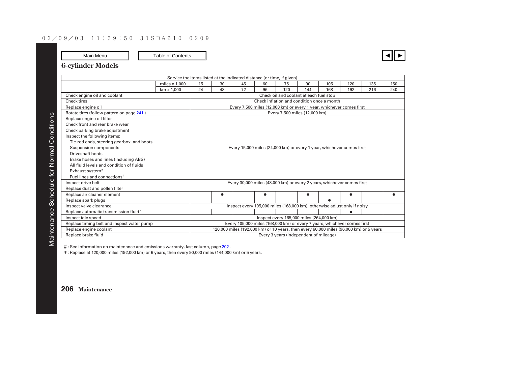### **6-cylinder Models**

| Service the items listed at the indicated distance (or time, if given).                                                                                                     |                                        |                                                                      |           |    |           |     |                                                                                        |           |           |     |     |  |  |
|-----------------------------------------------------------------------------------------------------------------------------------------------------------------------------|----------------------------------------|----------------------------------------------------------------------|-----------|----|-----------|-----|----------------------------------------------------------------------------------------|-----------|-----------|-----|-----|--|--|
|                                                                                                                                                                             | miles $\times$ 1.000                   | 15                                                                   | 30        | 45 | 60        | 75  | 90                                                                                     | 105       | 120       | 135 | 150 |  |  |
|                                                                                                                                                                             | $km \times 1.000$                      | 24                                                                   | 48        | 72 | 96        | 120 | 144                                                                                    | 168       | 192       | 216 | 240 |  |  |
| Check engine oil and coolant                                                                                                                                                |                                        | Check oil and coolant at each fuel stop                              |           |    |           |     |                                                                                        |           |           |     |     |  |  |
| Check tires                                                                                                                                                                 |                                        | Check inflation and condition once a month                           |           |    |           |     |                                                                                        |           |           |     |     |  |  |
| Replace engine oil                                                                                                                                                          |                                        | Every 7,500 miles (12,000 km) or every 1 year, whichever comes first |           |    |           |     |                                                                                        |           |           |     |     |  |  |
| Rotate tires (follow pattern on page 241)                                                                                                                                   |                                        | Every 7,500 miles (12,000 km)                                        |           |    |           |     |                                                                                        |           |           |     |     |  |  |
| Replace engine oil filter                                                                                                                                                   |                                        |                                                                      |           |    |           |     |                                                                                        |           |           |     |     |  |  |
| Check front and rear brake wear                                                                                                                                             |                                        |                                                                      |           |    |           |     |                                                                                        |           |           |     |     |  |  |
| Check parking brake adjustment                                                                                                                                              |                                        |                                                                      |           |    |           |     |                                                                                        |           |           |     |     |  |  |
| Inspect the following items:<br>Tie-rod ends, steering gearbox, and boots<br>Suspension components<br>Every 15,000 miles (24,000 km) or every 1 year, whichever comes first |                                        |                                                                      |           |    |           |     |                                                                                        |           |           |     |     |  |  |
|                                                                                                                                                                             |                                        |                                                                      |           |    |           |     |                                                                                        |           |           |     |     |  |  |
|                                                                                                                                                                             |                                        |                                                                      |           |    |           |     |                                                                                        |           |           |     |     |  |  |
| Driveshaft boots                                                                                                                                                            |                                        |                                                                      |           |    |           |     |                                                                                        |           |           |     |     |  |  |
| Brake hoses and lines (including ABS)                                                                                                                                       |                                        |                                                                      |           |    |           |     |                                                                                        |           |           |     |     |  |  |
| All fluid levels and condition of fluids                                                                                                                                    |                                        |                                                                      |           |    |           |     |                                                                                        |           |           |     |     |  |  |
| Exhaust system <sup>#</sup>                                                                                                                                                 |                                        |                                                                      |           |    |           |     |                                                                                        |           |           |     |     |  |  |
| Fuel lines and connections <sup>#</sup>                                                                                                                                     |                                        |                                                                      |           |    |           |     |                                                                                        |           |           |     |     |  |  |
| Inspect drive belt                                                                                                                                                          |                                        |                                                                      |           |    |           |     | Every 30,000 miles (48,000 km) or every 2 years, whichever comes first                 |           |           |     |     |  |  |
| Replace dust and pollen filter                                                                                                                                              |                                        |                                                                      |           |    |           |     |                                                                                        |           |           |     |     |  |  |
| Replace air cleaner element                                                                                                                                                 |                                        |                                                                      | $\bullet$ |    | $\bullet$ |     | $\bullet$                                                                              |           | $\bullet$ |     | ٠   |  |  |
| Replace spark plugs                                                                                                                                                         |                                        |                                                                      |           |    |           |     |                                                                                        | $\bullet$ |           |     |     |  |  |
| Inspect valve clearance                                                                                                                                                     |                                        |                                                                      |           |    |           |     | Inspect every 105,000 miles (168,000 km), otherwise adjust only if noisy               |           |           |     |     |  |  |
| Replace automatic transmission fluid*                                                                                                                                       |                                        | ٠                                                                    |           |    |           |     |                                                                                        |           |           |     |     |  |  |
| Inspect idle speed                                                                                                                                                          |                                        | Inspect every 165,000 miles (264,000 km)                             |           |    |           |     |                                                                                        |           |           |     |     |  |  |
| Replace timing belt and inspect water pump                                                                                                                                  |                                        |                                                                      |           |    |           |     | Every 105,000 miles (168,000 km) or every 7 years, whichever comes first               |           |           |     |     |  |  |
| Replace engine coolant                                                                                                                                                      |                                        |                                                                      |           |    |           |     | 120,000 miles (192,000 km) or 10 years, then every 60,000 miles (96,000 km) or 5 years |           |           |     |     |  |  |
| Replace brake fluid                                                                                                                                                         | Every 3 years (independent of mileage) |                                                                      |           |    |           |     |                                                                                        |           |           |     |     |  |  |

 $\#$  : See information on maintenance and emissions warranty, last column, page 202 [.](#page-2-0)

\* Replace at 120,000 miles (192,000 km) or 6 years, then every 90,000 miles (144,000 km) or 5 years. :